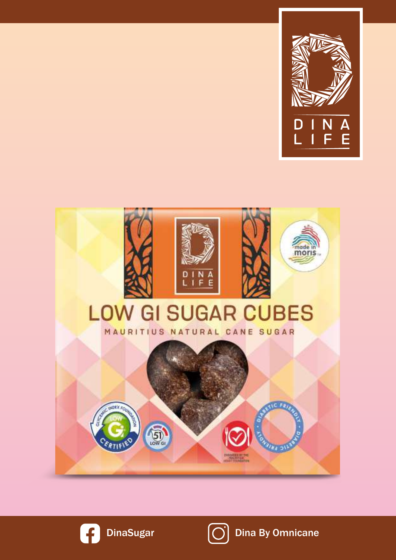





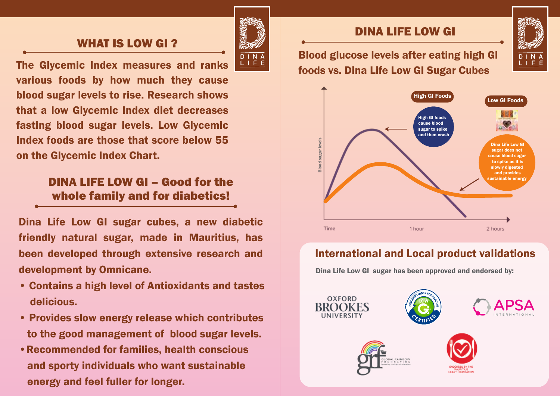## WHAT IS LOW GI ?<br>Recall the contract of the contract of the contract of the contract of the contract of the contract of the contract of the contract of the contract of the contract of the contract of the contract of the co



The Glycemic Index measures and ranks various foods by how much they cause blood sugar levels to rise. Research shows that a low Glycemic Index diet decreases fasting blood sugar levels. Low Glycemic Index foods are those that score below  $55$ on the Glycemic Index Chart.  $L$  score  $\mathbf{v}$ **25 cl**

### DINA LIFE LOW GI – Good for the JINA LIFE LOW GI – GOOD TOF THE<br>whole family and for diabetics!

cubes in hot water. In hot water water

Dina Life Low GI sugar cubes, a new diabetic friendly natural sugar, made in Mauritius, has been developed through extensive research and development by Omnicane.  $\cdots$ 

- Contains a high level of Antioxidants and tastes delicious.
- Provides slow energy release which contributes to the good management of blood sugar levels.
- Recommended for families, health conscious and sporty individuals who want sustainable energy and feel fuller for longer. s, nealth c

#### DINA LIFE LOW GI

Blood glucose levels after eating high GI foods vs. Dina Life Low GI Sugar Cubes



#### almond milk or other International and Local product validations

**1** Dina Life Low GI sugar has been approved and endorsed by: approvou unu onuoroou wy:

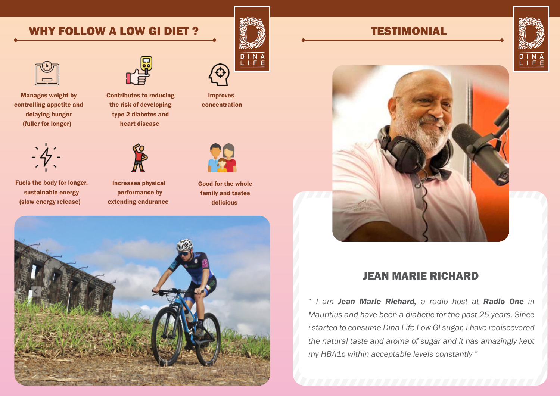#### WHY FOLLOW A LOW GI DIET ? TESTIMONIAL



Manages weight by controlling appetite and delaying hunger (fuller for longer)



Contributes to reducing the risk of developing type 2 diabetes and heart disease



Improves concentration



Fuels the body for longer, sustainable energy (slow energy release)



Increases physical performance by extending endurance



Good for the whole family and tastes delicious





#### JEAN MARIE RICHARD

" *I am Jean Marie Richard, a radio host at Radio One in Mauritius and have been a diabetic for the past 25 years. Since i started to consume Dina Life Low GI sugar, i have rediscovered the natural taste and aroma of sugar and it has amazingly kept my HBA1c within acceptable levels constantly "*

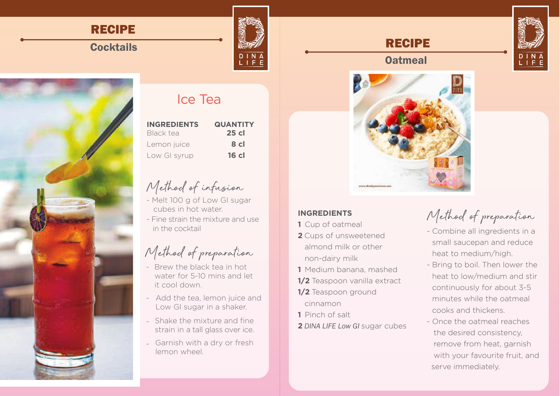### RECIPE

### **Cocktails**



| <b>INGREDIENTS</b> | <b>QUANTITY</b> |
|--------------------|-----------------|
| Black tea          | $25$ cl         |
| Lemon juice        | 8 cl            |
| Low GI syrup       | 16 cl           |

- cubes in hot water.
- in the cocktail

- Brew the black tea in hot water for 5-10 mins and let
- Add the tea, lemon juice and Low GI sugar in a shaker.
- 
- Garnish with a dry or fresh

# external glucose levels after the contract of the contract of the contract of the contract of the contract of the contract of the contract of the contract of the contract of the contract of the contract of the contract of



#### **INGREDIENTS**

- **1** Cup of oatmeal
- **2** Cups of unsweetened almond milk or other non-dairy milk
- **1** Medium banana, mashed **bung to both memory**
- **1/2** Teaspoon vanilla extract
- **1/2** Teaspoon ground cinnamon
- **1** Pinch of salt
- **2** *DINA LIFE Low GI* sugar cubes

# Method of preparation

- International and Local product values of the Local product values of the Meat to medium/high. - Combine all ingredients in a small saucepan and reduce
	- Bring to boil. Then lower the heat to low/medium and stir continuously for about 3-5 minutes while the oatmeal cooks and thickens.
	- Once the oatmeal reaches the desired consistency, remove from heat, garnish with your favourite fruit, and serve immediately.